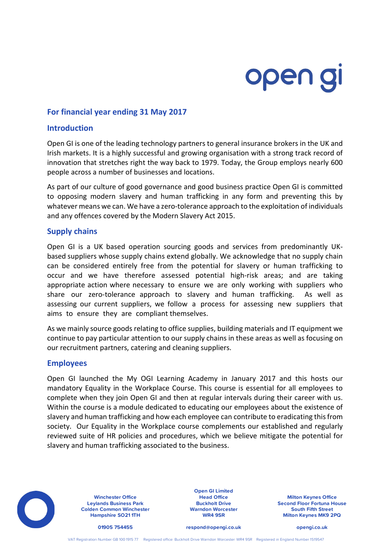# open gi

# **For financial year ending 31 May 2017**

## **Introduction**

Open GI is one of the leading technology partners to general insurance brokers in the UK and Irish markets. It is a highly successful and growing organisation with a strong track record of innovation that stretches right the way back to 1979. Today, the Group employs nearly 600 people across a number of businesses and locations.

As part of our culture of good governance and good business practice Open GI is committed to opposing modern slavery and human trafficking in any form and preventing this by whatever means we can. We have a zero-tolerance approach to the exploitation of individuals and any offences covered by the Modern Slavery Act 2015.

## **Supply chains**

Open GI is a UK based operation sourcing goods and services from predominantly UKbased suppliers whose supply chains extend globally. We acknowledge that no supply chain can be considered entirely free from the potential for slavery or human trafficking to occur and we have therefore assessed potential high-risk areas; and are taking appropriate action where necessary to ensure we are only working with suppliers who share our zero-tolerance approach to slavery and human trafficking. As well as assessing our current suppliers, we follow a process for assessing new suppliers that aims to ensure they are compliant themselves.

As we mainly source goods relating to office supplies, building materials and IT equipment we continue to pay particular attention to our supply chains in these areas as well as focusing on our recruitment partners, catering and cleaning suppliers.

### **Employees**

Open GI launched the My OGI Learning Academy in January 2017 and this hosts our mandatory Equality in the Workplace Course. This course is essential for all employees to complete when they join Open GI and then at regular intervals during their career with us. Within the course is a module dedicated to educating our employees about the existence of slavery and human trafficking and how each employee can contribute to eradicating this from society. Our Equality in the Workplace course complements our established and regularly reviewed suite of HR policies and procedures, which we believe mitigate the potential for slavery and human trafficking associated to the business.



**Leylands Business Park Colden Common Winchester Hampshire SO21 1TH**

**Open GI Limited Buckholt Drive Warndon Worcester WR4 9SR**

**Winchester Office Head Office Milton Keynes Office Second Floor Fortuna House South Fifth Street Milton Keynes MK9 2PQ**

**01905 754455 respond@opengi.co.uk opengi.co.uk**